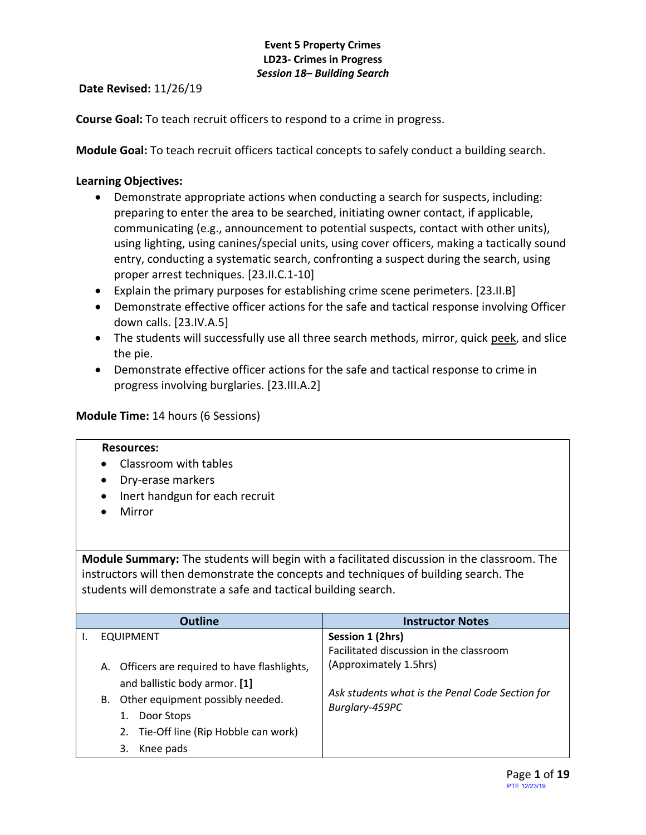**Date Revised:** 11/26/19

**Course Goal:** To teach recruit officers to respond to a crime in progress.

**Module Goal:** To teach recruit officers tactical concepts to safely conduct a building search.

## **Learning Objectives:**

- Demonstrate appropriate actions when conducting a search for suspects, including: preparing to enter the area to be searched, initiating owner contact, if applicable, communicating (e.g., announcement to potential suspects, contact with other units), using lighting, using canines/special units, using cover officers, making a tactically sound entry, conducting a systematic search, confronting a suspect during the search, using proper arrest techniques. [23.II.C.1-10]
- Explain the primary purposes for establishing crime scene perimeters. [23.II.B]
- Demonstrate effective officer actions for the safe and tactical response involving Officer down calls. [23.IV.A.5]
- The students will successfully use all three search methods, mirror, quick peek, and slice the pie.
- Demonstrate effective officer actions for the safe and tactical response to crime in progress involving burglaries. [23.III.A.2]

### **Module Time:** 14 hours (6 Sessions)

#### **Resources:**

- Classroom with tables
- Dry-erase markers
- Inert handgun for each recruit
- Mirror

**Module Summary:** The students will begin with a facilitated discussion in the classroom. The instructors will then demonstrate the concepts and techniques of building search. The students will demonstrate a safe and tactical building search.

| <b>Outline</b>                                | <b>Instructor Notes</b>                         |
|-----------------------------------------------|-------------------------------------------------|
| <b>EQUIPMENT</b>                              | Session 1 (2hrs)                                |
|                                               | Facilitated discussion in the classroom         |
| A. Officers are required to have flashlights, | (Approximately 1.5hrs)                          |
| and ballistic body armor. [1]                 |                                                 |
| Other equipment possibly needed.<br>В.        | Ask students what is the Penal Code Section for |
| Door Stops                                    | Burglary-459PC                                  |
| 2. Tie-Off line (Rip Hobble can work)         |                                                 |
| Knee pads<br>3.                               |                                                 |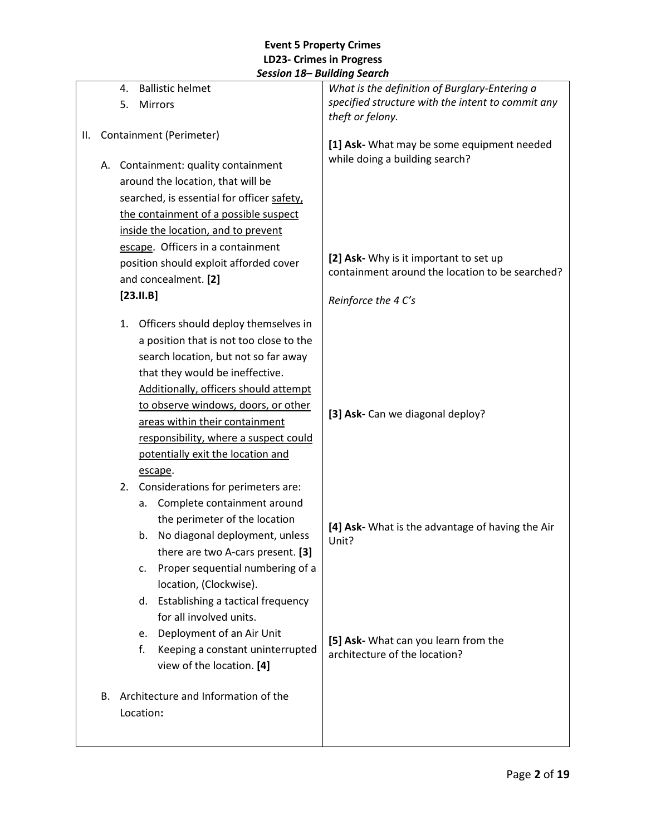|    |                         | 4.                                                                                                                                                                                         | <b>Ballistic helmet</b>                    | What is the definition of Burglary-Entering a                                             |
|----|-------------------------|--------------------------------------------------------------------------------------------------------------------------------------------------------------------------------------------|--------------------------------------------|-------------------------------------------------------------------------------------------|
|    |                         | 5.                                                                                                                                                                                         | Mirrors                                    | specified structure with the intent to commit any                                         |
|    |                         |                                                                                                                                                                                            |                                            | theft or felony.                                                                          |
| Ш. | Containment (Perimeter) |                                                                                                                                                                                            |                                            | [1] Ask- What may be some equipment needed                                                |
|    |                         |                                                                                                                                                                                            |                                            | while doing a building search?                                                            |
|    |                         | A. Containment: quality containment<br>around the location, that will be                                                                                                                   |                                            |                                                                                           |
|    |                         |                                                                                                                                                                                            |                                            |                                                                                           |
|    |                         |                                                                                                                                                                                            | searched, is essential for officer safety, |                                                                                           |
|    |                         |                                                                                                                                                                                            | the containment of a possible suspect      |                                                                                           |
|    |                         |                                                                                                                                                                                            | inside the location, and to prevent        |                                                                                           |
|    |                         |                                                                                                                                                                                            | escape. Officers in a containment          |                                                                                           |
|    |                         |                                                                                                                                                                                            | position should exploit afforded cover     | [2] Ask- Why is it important to set up<br>containment around the location to be searched? |
|    |                         |                                                                                                                                                                                            | and concealment. [2]                       |                                                                                           |
|    |                         |                                                                                                                                                                                            | $[23.11.B]$                                | Reinforce the 4 C's                                                                       |
|    |                         | 1.                                                                                                                                                                                         | Officers should deploy themselves in       |                                                                                           |
|    |                         |                                                                                                                                                                                            | a position that is not too close to the    |                                                                                           |
|    |                         |                                                                                                                                                                                            | search location, but not so far away       |                                                                                           |
|    |                         | that they would be ineffective.<br>Additionally, officers should attempt<br>to observe windows, doors, or other<br>areas within their containment<br>responsibility, where a suspect could |                                            |                                                                                           |
|    |                         |                                                                                                                                                                                            |                                            |                                                                                           |
|    |                         |                                                                                                                                                                                            |                                            | [3] Ask- Can we diagonal deploy?                                                          |
|    |                         |                                                                                                                                                                                            |                                            |                                                                                           |
|    |                         |                                                                                                                                                                                            |                                            |                                                                                           |
|    |                         |                                                                                                                                                                                            | potentially exit the location and          |                                                                                           |
|    |                         |                                                                                                                                                                                            | escape.                                    |                                                                                           |
|    |                         | 2.                                                                                                                                                                                         | Considerations for perimeters are:         |                                                                                           |
|    |                         |                                                                                                                                                                                            | Complete containment around<br>а.          |                                                                                           |
|    |                         |                                                                                                                                                                                            | the perimeter of the location              |                                                                                           |
|    |                         |                                                                                                                                                                                            | No diagonal deployment, unless<br>b.       | [4] Ask- What is the advantage of having the Air<br>Unit?                                 |
|    |                         |                                                                                                                                                                                            | there are two A-cars present. [3]          |                                                                                           |
|    |                         |                                                                                                                                                                                            | Proper sequential numbering of a<br>c.     |                                                                                           |
|    |                         |                                                                                                                                                                                            | location, (Clockwise).                     |                                                                                           |
|    |                         |                                                                                                                                                                                            | Establishing a tactical frequency<br>d.    |                                                                                           |
|    |                         |                                                                                                                                                                                            | for all involved units.                    |                                                                                           |
|    |                         |                                                                                                                                                                                            | Deployment of an Air Unit<br>e.            |                                                                                           |
|    |                         |                                                                                                                                                                                            | Keeping a constant uninterrupted<br>f.     | [5] Ask- What can you learn from the<br>architecture of the location?                     |
|    |                         |                                                                                                                                                                                            | view of the location. [4]                  |                                                                                           |
|    |                         |                                                                                                                                                                                            |                                            |                                                                                           |
|    | В.                      |                                                                                                                                                                                            | Architecture and Information of the        |                                                                                           |
|    |                         |                                                                                                                                                                                            | Location:                                  |                                                                                           |
|    |                         |                                                                                                                                                                                            |                                            |                                                                                           |
|    |                         |                                                                                                                                                                                            |                                            |                                                                                           |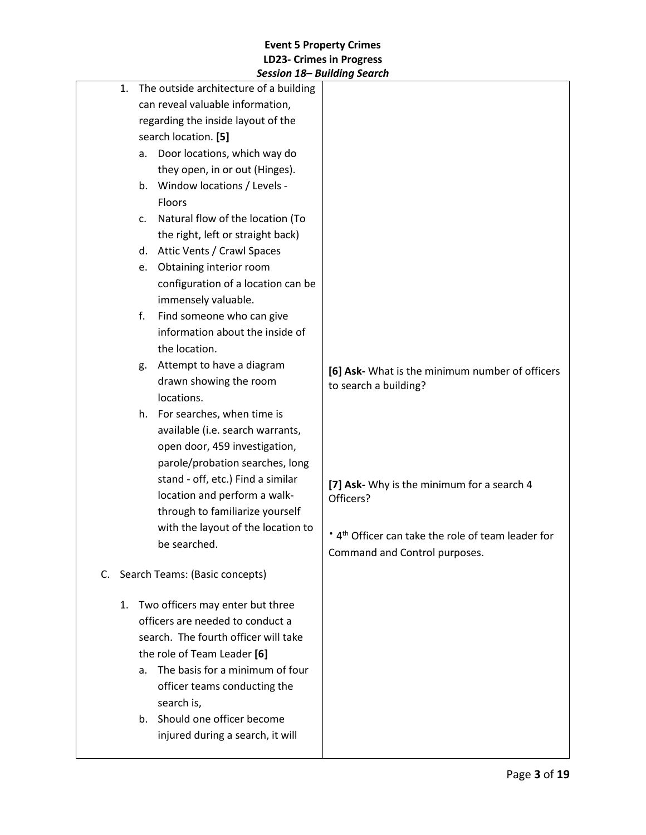|          | JESSIUII 10– DUIIUIIIY JEUIUII                                                                                                                                                                                                                                                                                                                        |                                                                                                                                                            |
|----------|-------------------------------------------------------------------------------------------------------------------------------------------------------------------------------------------------------------------------------------------------------------------------------------------------------------------------------------------------------|------------------------------------------------------------------------------------------------------------------------------------------------------------|
| 1.       | The outside architecture of a building<br>can reveal valuable information,<br>regarding the inside layout of the<br>search location. [5]<br>Door locations, which way do<br>a.<br>they open, in or out (Hinges).<br>Window locations / Levels -<br>b.<br><b>Floors</b><br>Natural flow of the location (To<br>C.<br>the right, left or straight back) |                                                                                                                                                            |
|          | d. Attic Vents / Crawl Spaces<br>Obtaining interior room<br>e.<br>configuration of a location can be<br>immensely valuable.                                                                                                                                                                                                                           |                                                                                                                                                            |
|          | Find someone who can give<br>f.<br>information about the inside of<br>the location.<br>Attempt to have a diagram<br>g.<br>drawn showing the room<br>locations.                                                                                                                                                                                        | [6] Ask- What is the minimum number of officers<br>to search a building?                                                                                   |
|          | h. For searches, when time is<br>available (i.e. search warrants,<br>open door, 459 investigation,<br>parole/probation searches, long<br>stand - off, etc.) Find a similar<br>location and perform a walk-<br>through to familiarize yourself<br>with the layout of the location to<br>be searched.                                                   | [7] Ask- Why is the minimum for a search 4<br>Officers?<br>* 4 <sup>th</sup> Officer can take the role of team leader for<br>Command and Control purposes. |
| C.<br>1. | Search Teams: (Basic concepts)<br>Two officers may enter but three<br>officers are needed to conduct a<br>search. The fourth officer will take<br>the role of Team Leader [6]<br>The basis for a minimum of four<br>a.<br>officer teams conducting the<br>search is,<br>Should one officer become<br>b.<br>injured during a search, it will           |                                                                                                                                                            |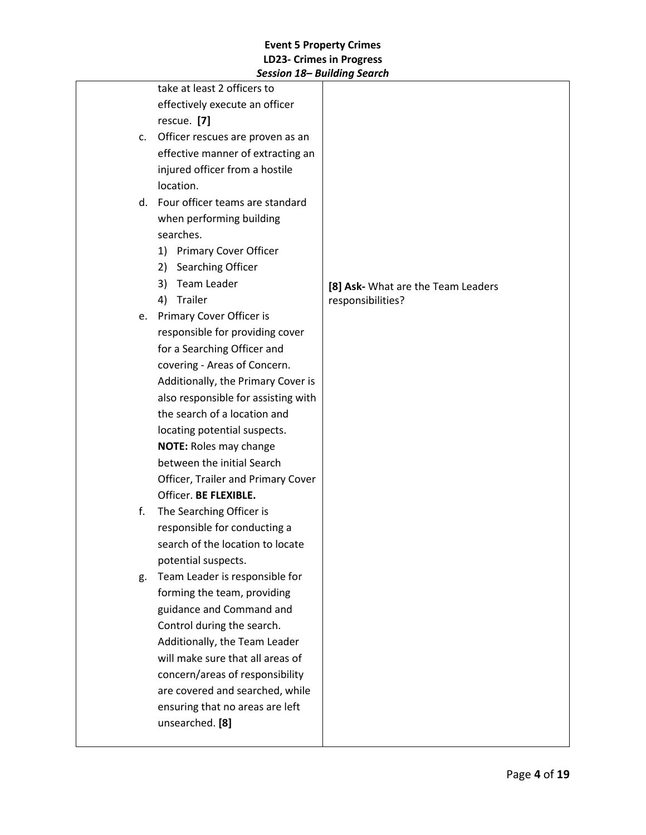|    | JESSIUII 10– DUIIUIIIY JEURII       |                                    |
|----|-------------------------------------|------------------------------------|
|    | take at least 2 officers to         |                                    |
|    | effectively execute an officer      |                                    |
|    | rescue. [7]                         |                                    |
| c. | Officer rescues are proven as an    |                                    |
|    | effective manner of extracting an   |                                    |
|    | injured officer from a hostile      |                                    |
|    | location.                           |                                    |
|    | d. Four officer teams are standard  |                                    |
|    | when performing building            |                                    |
|    | searches.                           |                                    |
|    | 1)<br><b>Primary Cover Officer</b>  |                                    |
|    | Searching Officer<br>2)             |                                    |
|    | Team Leader<br>3)                   | [8] Ask- What are the Team Leaders |
|    | Trailer<br>4)                       | responsibilities?                  |
|    | e. Primary Cover Officer is         |                                    |
|    | responsible for providing cover     |                                    |
|    | for a Searching Officer and         |                                    |
|    | covering - Areas of Concern.        |                                    |
|    | Additionally, the Primary Cover is  |                                    |
|    | also responsible for assisting with |                                    |
|    | the search of a location and        |                                    |
|    | locating potential suspects.        |                                    |
|    | <b>NOTE: Roles may change</b>       |                                    |
|    | between the initial Search          |                                    |
|    | Officer, Trailer and Primary Cover  |                                    |
|    | Officer. BE FLEXIBLE.               |                                    |
| f. | The Searching Officer is            |                                    |
|    | responsible for conducting a        |                                    |
|    | search of the location to locate    |                                    |
|    | potential suspects.                 |                                    |
| g. | Team Leader is responsible for      |                                    |
|    | forming the team, providing         |                                    |
|    | guidance and Command and            |                                    |
|    | Control during the search.          |                                    |
|    | Additionally, the Team Leader       |                                    |
|    | will make sure that all areas of    |                                    |
|    | concern/areas of responsibility     |                                    |
|    | are covered and searched, while     |                                    |
|    | ensuring that no areas are left     |                                    |
|    | unsearched. [8]                     |                                    |
|    |                                     |                                    |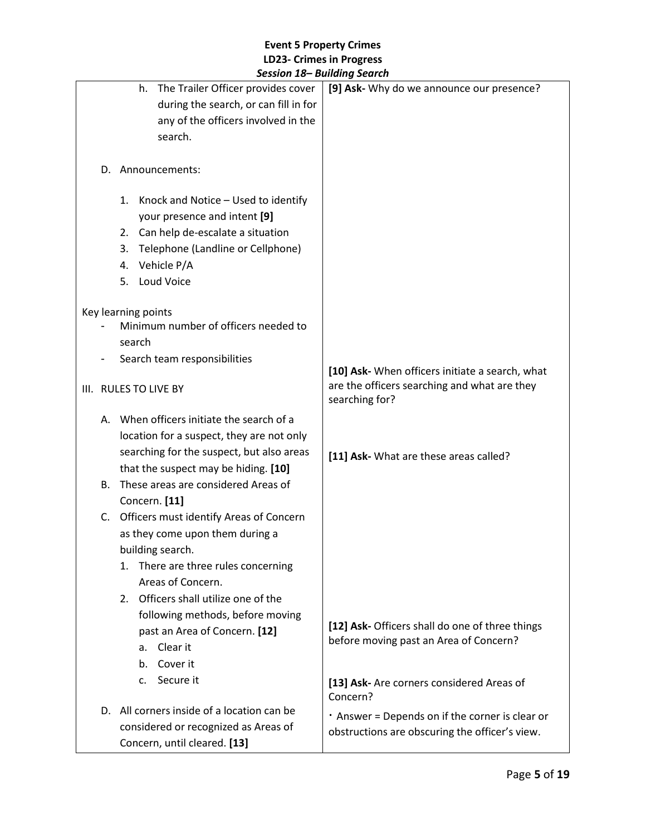|           |                                            | JESSIUII 10– DUIIUIIIY JEUIUII                        |
|-----------|--------------------------------------------|-------------------------------------------------------|
|           | The Trailer Officer provides cover<br>h.   | [9] Ask- Why do we announce our presence?             |
|           | during the search, or can fill in for      |                                                       |
|           | any of the officers involved in the        |                                                       |
|           | search.                                    |                                                       |
|           |                                            |                                                       |
|           | D. Announcements:                          |                                                       |
|           |                                            |                                                       |
|           | 1. Knock and Notice - Used to identify     |                                                       |
|           | your presence and intent [9]               |                                                       |
|           | 2. Can help de-escalate a situation        |                                                       |
|           | Telephone (Landline or Cellphone)<br>3.    |                                                       |
|           | Vehicle P/A<br>4.                          |                                                       |
|           | Loud Voice<br>5.                           |                                                       |
|           |                                            |                                                       |
|           | Key learning points                        |                                                       |
|           | Minimum number of officers needed to       |                                                       |
|           | search                                     |                                                       |
|           | Search team responsibilities               |                                                       |
|           |                                            | [10] Ask- When officers initiate a search, what       |
|           | III. RULES TO LIVE BY                      | are the officers searching and what are they          |
|           |                                            | searching for?                                        |
|           | A. When officers initiate the search of a  |                                                       |
|           | location for a suspect, they are not only  |                                                       |
|           | searching for the suspect, but also areas  | [11] Ask- What are these areas called?                |
|           | that the suspect may be hiding. [10]       |                                                       |
| <b>B.</b> | These areas are considered Areas of        |                                                       |
|           | Concern. [11]                              |                                                       |
|           | C. Officers must identify Areas of Concern |                                                       |
|           | as they come upon them during a            |                                                       |
|           | building search.                           |                                                       |
|           | There are three rules concerning<br>1.     |                                                       |
|           | Areas of Concern.                          |                                                       |
|           | 2. Officers shall utilize one of the       |                                                       |
|           | following methods, before moving           |                                                       |
|           |                                            | [12] Ask- Officers shall do one of three things       |
|           | past an Area of Concern. [12]              | before moving past an Area of Concern?                |
|           | Clear it<br>a.                             |                                                       |
|           | Cover it<br>b.                             |                                                       |
|           | Secure it<br>c.                            | [13] Ask- Are corners considered Areas of<br>Concern? |
|           | D. All corners inside of a location can be | . Answer = Depends on if the corner is clear or       |
|           | considered or recognized as Areas of       | obstructions are obscuring the officer's view.        |
|           | Concern, until cleared. [13]               |                                                       |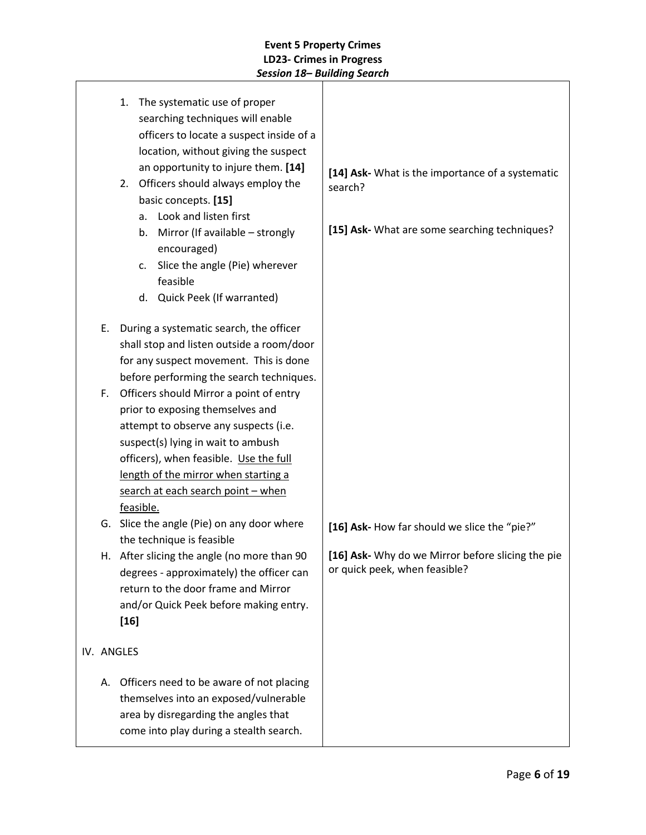| 1. The systematic use of proper<br>searching techniques will enable<br>officers to locate a suspect inside of a<br>location, without giving the suspect<br>an opportunity to injure them. [14]<br>2. Officers should always employ the<br>basic concepts. [15]<br>a. Look and listen first<br>Mirror (If available - strongly<br>b.<br>encouraged)<br>Slice the angle (Pie) wherever<br>c.<br>feasible<br>d. Quick Peek (If warranted) | [14] Ask- What is the importance of a systematic<br>search?<br>[15] Ask- What are some searching techniques? |
|----------------------------------------------------------------------------------------------------------------------------------------------------------------------------------------------------------------------------------------------------------------------------------------------------------------------------------------------------------------------------------------------------------------------------------------|--------------------------------------------------------------------------------------------------------------|
| During a systematic search, the officer<br>Ε.<br>shall stop and listen outside a room/door<br>for any suspect movement. This is done<br>before performing the search techniques.                                                                                                                                                                                                                                                       |                                                                                                              |
| Officers should Mirror a point of entry<br>F.<br>prior to exposing themselves and<br>attempt to observe any suspects (i.e.<br>suspect(s) lying in wait to ambush<br>officers), when feasible. Use the full<br>length of the mirror when starting a<br>search at each search point - when<br>feasible.                                                                                                                                  |                                                                                                              |
| G. Slice the angle (Pie) on any door where<br>the technique is feasible                                                                                                                                                                                                                                                                                                                                                                | [16] Ask- How far should we slice the "pie?"                                                                 |
| After slicing the angle (no more than 90)<br>н.<br>degrees - approximately) the officer can<br>return to the door frame and Mirror<br>and/or Quick Peek before making entry.<br>$[16]$                                                                                                                                                                                                                                                 | [16] Ask- Why do we Mirror before slicing the pie<br>or quick peek, when feasible?                           |
| IV. ANGLES                                                                                                                                                                                                                                                                                                                                                                                                                             |                                                                                                              |
| Officers need to be aware of not placing<br>А.<br>themselves into an exposed/vulnerable<br>area by disregarding the angles that<br>come into play during a stealth search.                                                                                                                                                                                                                                                             |                                                                                                              |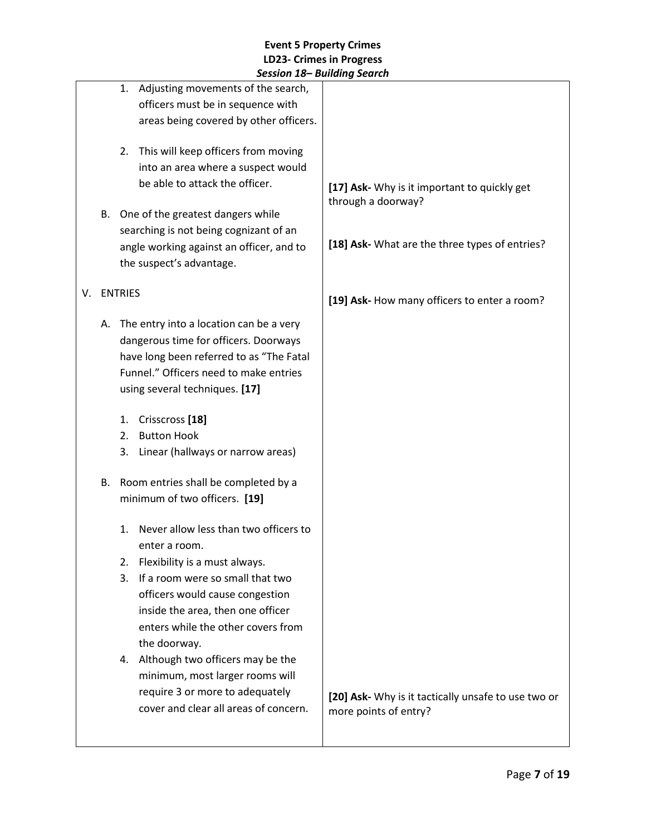|    |    | JESSIUII 10– DUIIUIIIY JEUIUII                                                                                          |                                                                              |
|----|----|-------------------------------------------------------------------------------------------------------------------------|------------------------------------------------------------------------------|
|    |    | Adjusting movements of the search,<br>1.<br>officers must be in sequence with<br>areas being covered by other officers. |                                                                              |
|    |    | 2. This will keep officers from moving<br>into an area where a suspect would                                            |                                                                              |
|    |    | be able to attack the officer.                                                                                          | [17] Ask- Why is it important to quickly get<br>through a doorway?           |
|    | В. | One of the greatest dangers while                                                                                       |                                                                              |
|    |    | searching is not being cognizant of an                                                                                  | [18] Ask- What are the three types of entries?                               |
|    |    | angle working against an officer, and to<br>the suspect's advantage.                                                    |                                                                              |
| V. |    | <b>ENTRIES</b>                                                                                                          | [19] Ask- How many officers to enter a room?                                 |
|    | А. | The entry into a location can be a very                                                                                 |                                                                              |
|    |    | dangerous time for officers. Doorways<br>have long been referred to as "The Fatal                                       |                                                                              |
|    |    | Funnel." Officers need to make entries                                                                                  |                                                                              |
|    |    | using several techniques. [17]                                                                                          |                                                                              |
|    |    | Crisscross <sup>[18]</sup><br>1.                                                                                        |                                                                              |
|    |    | <b>Button Hook</b><br>2.                                                                                                |                                                                              |
|    |    | Linear (hallways or narrow areas)<br>3.                                                                                 |                                                                              |
|    | В. | Room entries shall be completed by a                                                                                    |                                                                              |
|    |    | minimum of two officers. [19]                                                                                           |                                                                              |
|    |    | Never allow less than two officers to<br>1.<br>enter a room.                                                            |                                                                              |
|    |    | Flexibility is a must always.<br>2.                                                                                     |                                                                              |
|    |    | If a room were so small that two<br>3.                                                                                  |                                                                              |
|    |    | officers would cause congestion                                                                                         |                                                                              |
|    |    | inside the area, then one officer                                                                                       |                                                                              |
|    |    | enters while the other covers from                                                                                      |                                                                              |
|    |    | the doorway.                                                                                                            |                                                                              |
|    |    | 4. Although two officers may be the<br>minimum, most larger rooms will                                                  |                                                                              |
|    |    | require 3 or more to adequately                                                                                         |                                                                              |
|    |    | cover and clear all areas of concern.                                                                                   | [20] Ask- Why is it tactically unsafe to use two or<br>more points of entry? |
|    |    |                                                                                                                         |                                                                              |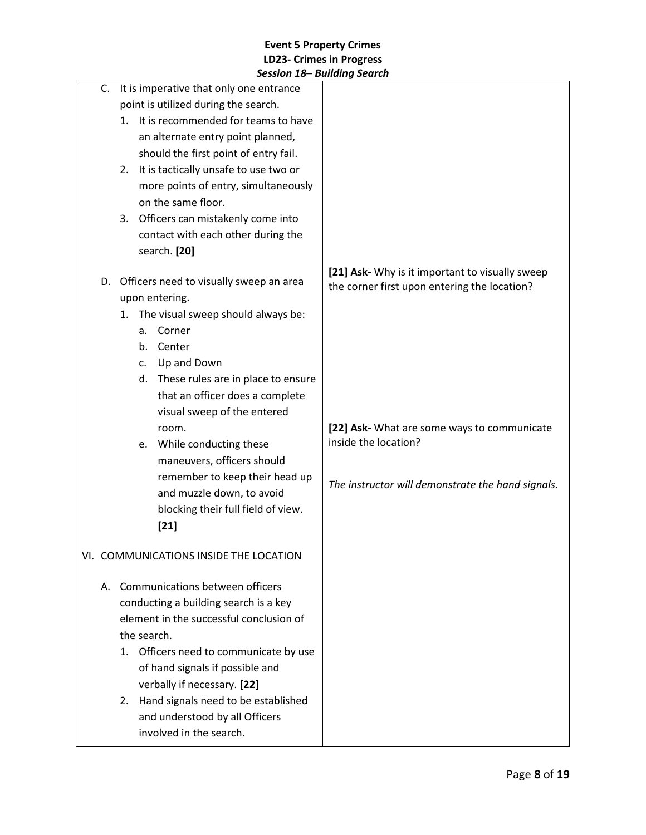|                                         | JESSIUII 10– DUIIUIIIY JEUIUII              |                                                                                                 |
|-----------------------------------------|---------------------------------------------|-------------------------------------------------------------------------------------------------|
|                                         | C. It is imperative that only one entrance  |                                                                                                 |
|                                         | point is utilized during the search.        |                                                                                                 |
|                                         | It is recommended for teams to have<br>1.   |                                                                                                 |
|                                         | an alternate entry point planned,           |                                                                                                 |
|                                         | should the first point of entry fail.       |                                                                                                 |
|                                         | It is tactically unsafe to use two or<br>2. |                                                                                                 |
|                                         | more points of entry, simultaneously        |                                                                                                 |
|                                         | on the same floor.                          |                                                                                                 |
|                                         | 3. Officers can mistakenly come into        |                                                                                                 |
|                                         | contact with each other during the          |                                                                                                 |
|                                         | search. [20]                                |                                                                                                 |
| D.                                      | Officers need to visually sweep an area     | [21] Ask- Why is it important to visually sweep<br>the corner first upon entering the location? |
|                                         | upon entering.                              |                                                                                                 |
|                                         | The visual sweep should always be:<br>1.    |                                                                                                 |
|                                         | Corner<br>a.                                |                                                                                                 |
|                                         | Center<br>b.                                |                                                                                                 |
|                                         | Up and Down<br>C.                           |                                                                                                 |
|                                         | d. These rules are in place to ensure       |                                                                                                 |
|                                         | that an officer does a complete             |                                                                                                 |
|                                         | visual sweep of the entered                 |                                                                                                 |
|                                         | room.                                       | [22] Ask- What are some ways to communicate                                                     |
|                                         | While conducting these<br>e.                | inside the location?                                                                            |
|                                         | maneuvers, officers should                  |                                                                                                 |
|                                         | remember to keep their head up              |                                                                                                 |
|                                         | and muzzle down, to avoid                   | The instructor will demonstrate the hand signals.                                               |
|                                         | blocking their full field of view.          |                                                                                                 |
|                                         | $[21]$                                      |                                                                                                 |
|                                         |                                             |                                                                                                 |
|                                         | VI. COMMUNICATIONS INSIDE THE LOCATION      |                                                                                                 |
|                                         | A. Communications between officers          |                                                                                                 |
|                                         | conducting a building search is a key       |                                                                                                 |
| element in the successful conclusion of |                                             |                                                                                                 |
|                                         | the search.                                 |                                                                                                 |
|                                         | Officers need to communicate by use<br>1.   |                                                                                                 |
|                                         | of hand signals if possible and             |                                                                                                 |
|                                         | verbally if necessary. [22]                 |                                                                                                 |
|                                         | Hand signals need to be established<br>2.   |                                                                                                 |
|                                         | and understood by all Officers              |                                                                                                 |
|                                         | involved in the search.                     |                                                                                                 |
|                                         |                                             |                                                                                                 |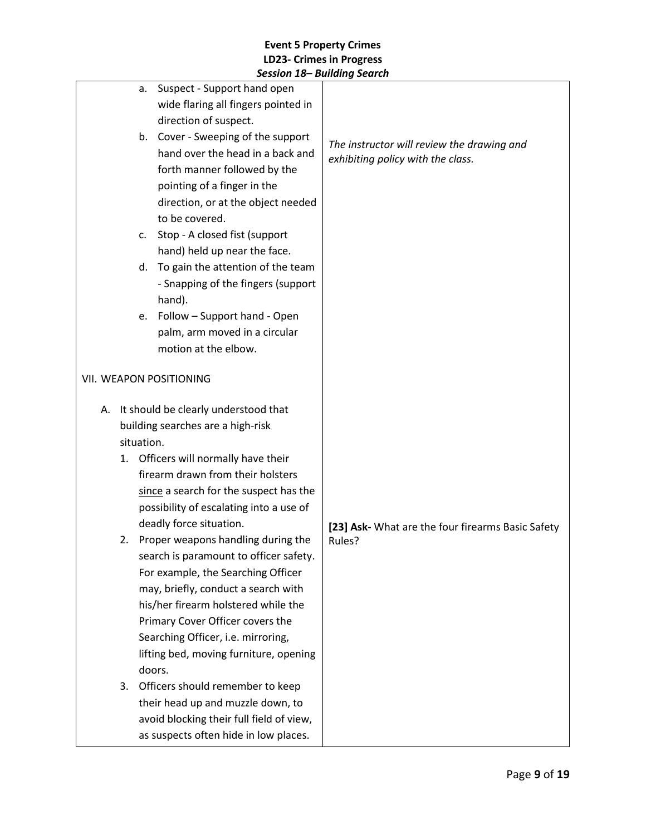|    | Suspect - Support hand open<br>a.            |                                                   |
|----|----------------------------------------------|---------------------------------------------------|
|    | wide flaring all fingers pointed in          |                                                   |
|    | direction of suspect.                        |                                                   |
|    | b. Cover - Sweeping of the support           |                                                   |
|    | hand over the head in a back and             | The instructor will review the drawing and        |
|    |                                              | exhibiting policy with the class.                 |
|    | forth manner followed by the                 |                                                   |
|    | pointing of a finger in the                  |                                                   |
|    | direction, or at the object needed           |                                                   |
|    | to be covered.                               |                                                   |
|    | Stop - A closed fist (support<br>c.          |                                                   |
|    | hand) held up near the face.                 |                                                   |
|    | To gain the attention of the team<br>d.      |                                                   |
|    | - Snapping of the fingers (support<br>hand). |                                                   |
|    | e. Follow - Support hand - Open              |                                                   |
|    | palm, arm moved in a circular                |                                                   |
|    | motion at the elbow.                         |                                                   |
|    |                                              |                                                   |
|    | VII. WEAPON POSITIONING                      |                                                   |
|    | A. It should be clearly understood that      |                                                   |
|    | building searches are a high-risk            |                                                   |
|    | situation.                                   |                                                   |
| 1. | Officers will normally have their            |                                                   |
|    | firearm drawn from their holsters            |                                                   |
|    | since a search for the suspect has the       |                                                   |
|    | possibility of escalating into a use of      |                                                   |
|    | deadly force situation.                      | [23] Ask- What are the four firearms Basic Safety |
|    | 2. Proper weapons handling during the        | Rules?                                            |
|    | search is paramount to officer safety.       |                                                   |
|    | For example, the Searching Officer           |                                                   |
|    | may, briefly, conduct a search with          |                                                   |
|    | his/her firearm holstered while the          |                                                   |
|    | Primary Cover Officer covers the             |                                                   |
|    | Searching Officer, i.e. mirroring,           |                                                   |
|    | lifting bed, moving furniture, opening       |                                                   |
|    | doors.                                       |                                                   |
| 3. | Officers should remember to keep             |                                                   |
|    | their head up and muzzle down, to            |                                                   |
|    | avoid blocking their full field of view,     |                                                   |
|    | as suspects often hide in low places.        |                                                   |
|    |                                              |                                                   |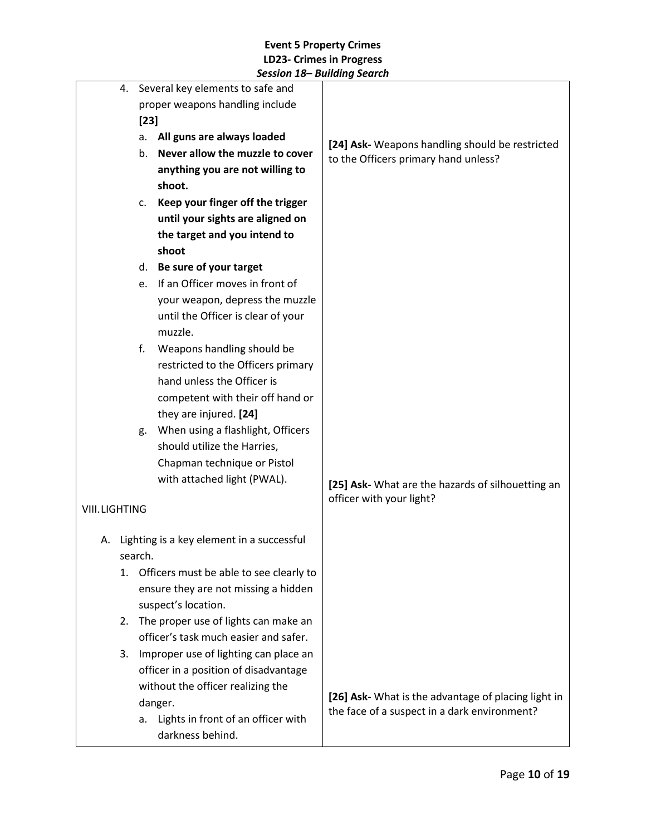|                      |                                  | 4. Several key elements to safe and                        |                                                                                                     |
|----------------------|----------------------------------|------------------------------------------------------------|-----------------------------------------------------------------------------------------------------|
|                      | proper weapons handling include  |                                                            |                                                                                                     |
|                      | $[23]$                           |                                                            |                                                                                                     |
|                      | All guns are always loaded<br>a. |                                                            | [24] Ask- Weapons handling should be restricted                                                     |
|                      |                                  | Never allow the muzzle to cover<br>b.                      | to the Officers primary hand unless?                                                                |
|                      |                                  | anything you are not willing to                            |                                                                                                     |
|                      |                                  | shoot.                                                     |                                                                                                     |
|                      |                                  | Keep your finger off the trigger<br>c.                     |                                                                                                     |
|                      |                                  | until your sights are aligned on                           |                                                                                                     |
|                      |                                  | the target and you intend to                               |                                                                                                     |
|                      |                                  | shoot                                                      |                                                                                                     |
|                      |                                  | Be sure of your target<br>d.                               |                                                                                                     |
|                      |                                  | If an Officer moves in front of<br>e.                      |                                                                                                     |
|                      |                                  | your weapon, depress the muzzle                            |                                                                                                     |
|                      |                                  | until the Officer is clear of your                         |                                                                                                     |
|                      |                                  | muzzle.                                                    |                                                                                                     |
|                      |                                  | f.<br>Weapons handling should be                           |                                                                                                     |
|                      |                                  | restricted to the Officers primary                         |                                                                                                     |
|                      |                                  | hand unless the Officer is                                 |                                                                                                     |
|                      |                                  | competent with their off hand or                           |                                                                                                     |
|                      |                                  | they are injured. [24]                                     |                                                                                                     |
|                      |                                  | When using a flashlight, Officers<br>g.                    |                                                                                                     |
|                      |                                  | should utilize the Harries,                                |                                                                                                     |
|                      |                                  | Chapman technique or Pistol<br>with attached light (PWAL). |                                                                                                     |
|                      |                                  |                                                            | [25] Ask- What are the hazards of silhouetting an                                                   |
| <b>VIII.LIGHTING</b> |                                  |                                                            | officer with your light?                                                                            |
|                      |                                  |                                                            |                                                                                                     |
|                      |                                  | A. Lighting is a key element in a successful               |                                                                                                     |
|                      |                                  | search.                                                    |                                                                                                     |
|                      |                                  | 1. Officers must be able to see clearly to                 |                                                                                                     |
|                      |                                  | ensure they are not missing a hidden                       |                                                                                                     |
|                      |                                  | suspect's location.                                        |                                                                                                     |
|                      | 2.                               | The proper use of lights can make an                       |                                                                                                     |
|                      |                                  | officer's task much easier and safer.                      |                                                                                                     |
|                      | 3.                               | Improper use of lighting can place an                      |                                                                                                     |
|                      |                                  | officer in a position of disadvantage                      |                                                                                                     |
|                      |                                  | without the officer realizing the                          |                                                                                                     |
|                      |                                  | danger.                                                    | [26] Ask- What is the advantage of placing light in<br>the face of a suspect in a dark environment? |
|                      |                                  | Lights in front of an officer with<br>a.                   |                                                                                                     |
|                      |                                  | darkness behind.                                           |                                                                                                     |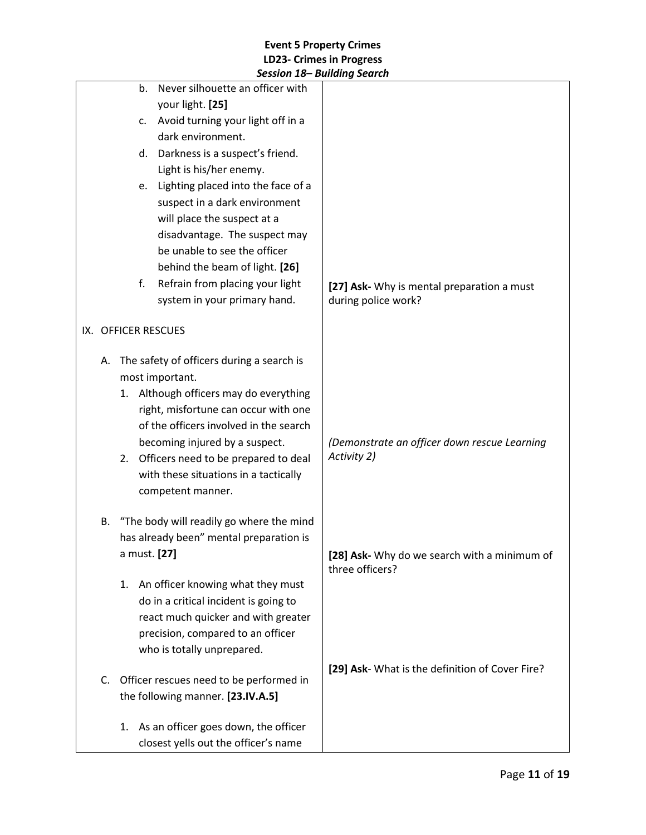|    |                     | Session 18– Building Search               |                                                                 |
|----|---------------------|-------------------------------------------|-----------------------------------------------------------------|
|    | b.                  | Never silhouette an officer with          |                                                                 |
|    |                     | your light. [25]                          |                                                                 |
|    | c.                  | Avoid turning your light off in a         |                                                                 |
|    |                     | dark environment.                         |                                                                 |
|    | d.                  | Darkness is a suspect's friend.           |                                                                 |
|    |                     | Light is his/her enemy.                   |                                                                 |
|    | e.                  | Lighting placed into the face of a        |                                                                 |
|    |                     | suspect in a dark environment             |                                                                 |
|    |                     | will place the suspect at a               |                                                                 |
|    |                     | disadvantage. The suspect may             |                                                                 |
|    |                     | be unable to see the officer              |                                                                 |
|    |                     | behind the beam of light. [26]            |                                                                 |
|    | f.                  | Refrain from placing your light           | [27] Ask- Why is mental preparation a must                      |
|    |                     | system in your primary hand.              | during police work?                                             |
|    |                     |                                           |                                                                 |
|    | IX. OFFICER RESCUES |                                           |                                                                 |
| А. |                     | The safety of officers during a search is |                                                                 |
|    |                     | most important.                           |                                                                 |
|    |                     | 1. Although officers may do everything    |                                                                 |
|    |                     | right, misfortune can occur with one      |                                                                 |
|    |                     | of the officers involved in the search    |                                                                 |
|    |                     | becoming injured by a suspect.            | (Demonstrate an officer down rescue Learning                    |
|    |                     | 2. Officers need to be prepared to deal   | Activity 2)                                                     |
|    |                     | with these situations in a tactically     |                                                                 |
|    |                     | competent manner.                         |                                                                 |
|    |                     |                                           |                                                                 |
| В. |                     | "The body will readily go where the mind  |                                                                 |
|    |                     | has already been" mental preparation is   |                                                                 |
|    | a must. [27]        |                                           | [28] Ask- Why do we search with a minimum of<br>three officers? |
|    | 1.                  | An officer knowing what they must         |                                                                 |
|    |                     | do in a critical incident is going to     |                                                                 |
|    |                     | react much quicker and with greater       |                                                                 |
|    |                     | precision, compared to an officer         |                                                                 |
|    |                     | who is totally unprepared.                |                                                                 |
|    |                     |                                           | [29] Ask- What is the definition of Cover Fire?                 |
| C. |                     | Officer rescues need to be performed in   |                                                                 |
|    |                     | the following manner. [23.IV.A.5]         |                                                                 |
|    |                     |                                           |                                                                 |
|    | 1.                  | As an officer goes down, the officer      |                                                                 |
|    |                     | closest yells out the officer's name      |                                                                 |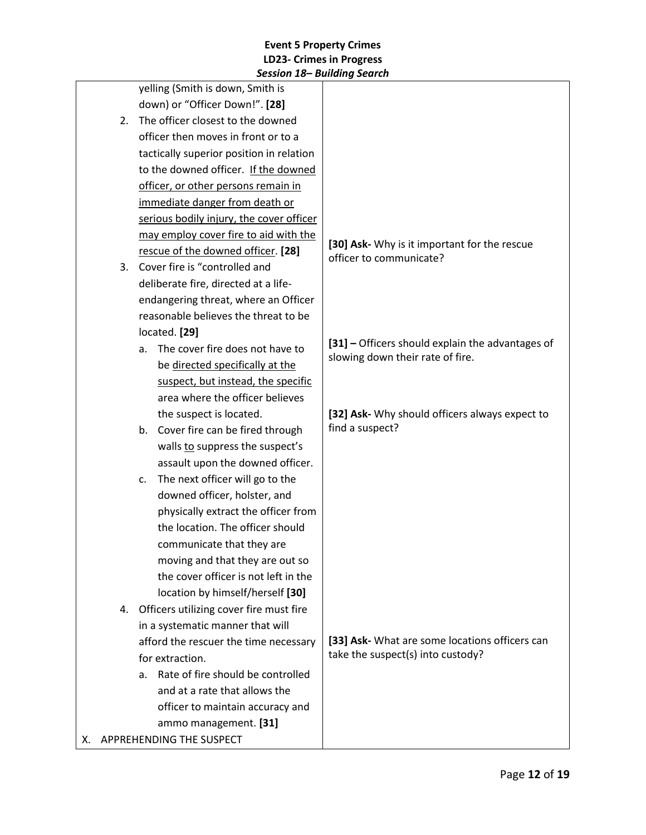|                                         | JESSIUII 10 DUIIUIIIY JEUIUII            |                                                                                      |
|-----------------------------------------|------------------------------------------|--------------------------------------------------------------------------------------|
|                                         | yelling (Smith is down, Smith is         |                                                                                      |
|                                         | down) or "Officer Down!". [28]           |                                                                                      |
| The officer closest to the downed<br>2. |                                          |                                                                                      |
| officer then moves in front or to a     |                                          |                                                                                      |
|                                         | tactically superior position in relation |                                                                                      |
|                                         | to the downed officer. If the downed     |                                                                                      |
|                                         | officer, or other persons remain in      |                                                                                      |
|                                         | immediate danger from death or           |                                                                                      |
|                                         | serious bodily injury, the cover officer |                                                                                      |
|                                         | may employ cover fire to aid with the    |                                                                                      |
|                                         | rescue of the downed officer. [28]       | [30] Ask- Why is it important for the rescue<br>officer to communicate?              |
| 3.                                      | Cover fire is "controlled and            |                                                                                      |
|                                         | deliberate fire, directed at a life-     |                                                                                      |
|                                         | endangering threat, where an Officer     |                                                                                      |
|                                         | reasonable believes the threat to be     |                                                                                      |
|                                         | located. [29]                            |                                                                                      |
|                                         | The cover fire does not have to<br>a.    | [31] - Officers should explain the advantages of<br>slowing down their rate of fire. |
|                                         | be directed specifically at the          |                                                                                      |
| suspect, but instead, the specific      |                                          |                                                                                      |
| area where the officer believes         |                                          |                                                                                      |
| the suspect is located.                 |                                          | [32] Ask- Why should officers always expect to                                       |
|                                         | b. Cover fire can be fired through       | find a suspect?                                                                      |
| walls to suppress the suspect's         |                                          |                                                                                      |
| assault upon the downed officer.        |                                          |                                                                                      |
|                                         | The next officer will go to the<br>c.    |                                                                                      |
| downed officer, holster, and            |                                          |                                                                                      |
|                                         | physically extract the officer from      |                                                                                      |
|                                         | the location. The officer should         |                                                                                      |
|                                         | communicate that they are                |                                                                                      |
|                                         | moving and that they are out so          |                                                                                      |
|                                         | the cover officer is not left in the     |                                                                                      |
|                                         | location by himself/herself [30]         |                                                                                      |
| 4.                                      | Officers utilizing cover fire must fire  |                                                                                      |
|                                         | in a systematic manner that will         |                                                                                      |
| afford the rescuer the time necessary   |                                          | [33] Ask- What are some locations officers can                                       |
|                                         | for extraction.                          | take the suspect(s) into custody?                                                    |
|                                         | Rate of fire should be controlled<br>a.  |                                                                                      |
|                                         | and at a rate that allows the            |                                                                                      |
|                                         | officer to maintain accuracy and         |                                                                                      |
|                                         | ammo management. [31]                    |                                                                                      |
|                                         | X. APPREHENDING THE SUSPECT              |                                                                                      |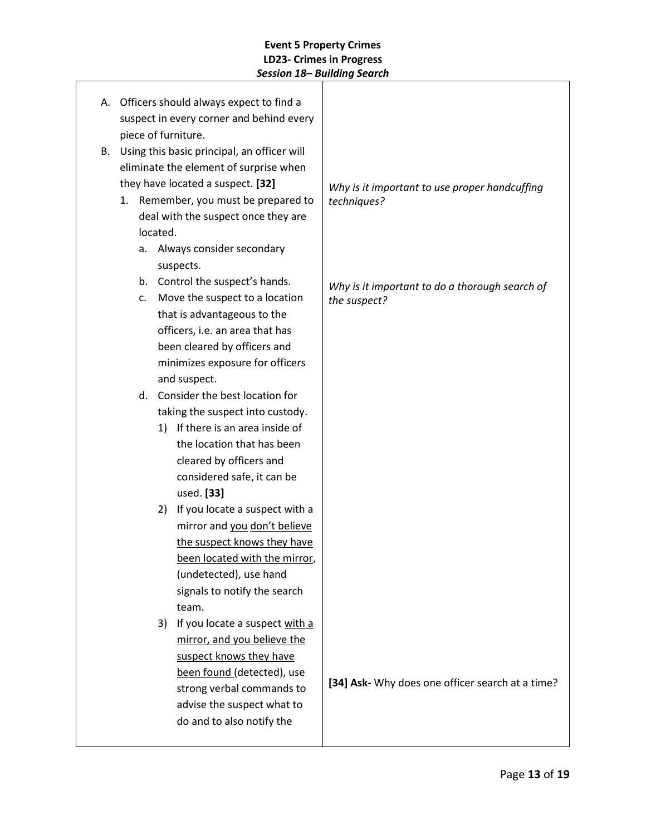|    |                |          | A. Officers should always expect to find a  |                                                  |
|----|----------------|----------|---------------------------------------------|--------------------------------------------------|
|    |                |          | suspect in every corner and behind every    |                                                  |
|    |                |          | piece of furniture.                         |                                                  |
| В. |                |          | Using this basic principal, an officer will |                                                  |
|    |                |          | eliminate the element of surprise when      |                                                  |
|    |                |          | they have located a suspect. [32]           | Why is it important to use proper handcuffing    |
|    |                |          | 1. Remember, you must be prepared to        | techniques?                                      |
|    |                |          | deal with the suspect once they are         |                                                  |
|    |                | located. |                                             |                                                  |
|    | a.             |          | Always consider secondary                   |                                                  |
|    |                |          | suspects.                                   |                                                  |
|    |                |          | b. Control the suspect's hands.             | Why is it important to do a thorough search of   |
|    | $\mathsf{C}$ . |          | Move the suspect to a location              | the suspect?                                     |
|    |                |          | that is advantageous to the                 |                                                  |
|    |                |          | officers, i.e. an area that has             |                                                  |
|    |                |          | been cleared by officers and                |                                                  |
|    |                |          | minimizes exposure for officers             |                                                  |
|    |                |          | and suspect.                                |                                                  |
|    | d.             |          | Consider the best location for              |                                                  |
|    |                |          | taking the suspect into custody.            |                                                  |
|    |                |          | 1) If there is an area inside of            |                                                  |
|    |                |          | the location that has been                  |                                                  |
|    |                |          | cleared by officers and                     |                                                  |
|    |                |          | considered safe, it can be                  |                                                  |
|    |                |          | used. [33]                                  |                                                  |
|    |                | 2)       | If you locate a suspect with a              |                                                  |
|    |                |          | mirror and you don't believe                |                                                  |
|    |                |          | the suspect knows they have                 |                                                  |
|    |                |          | been located with the mirror,               |                                                  |
|    |                |          | (undetected), use hand                      |                                                  |
|    |                |          | signals to notify the search                |                                                  |
|    |                |          | team.                                       |                                                  |
|    |                | 3)       | If you locate a suspect with a              |                                                  |
|    |                |          | mirror, and you believe the                 |                                                  |
|    |                |          | suspect knows they have                     |                                                  |
|    |                |          | been found (detected), use                  | [34] Ask- Why does one officer search at a time? |
|    |                |          | strong verbal commands to                   |                                                  |
|    |                |          | advise the suspect what to                  |                                                  |
|    |                |          | do and to also notify the                   |                                                  |
|    |                |          |                                             |                                                  |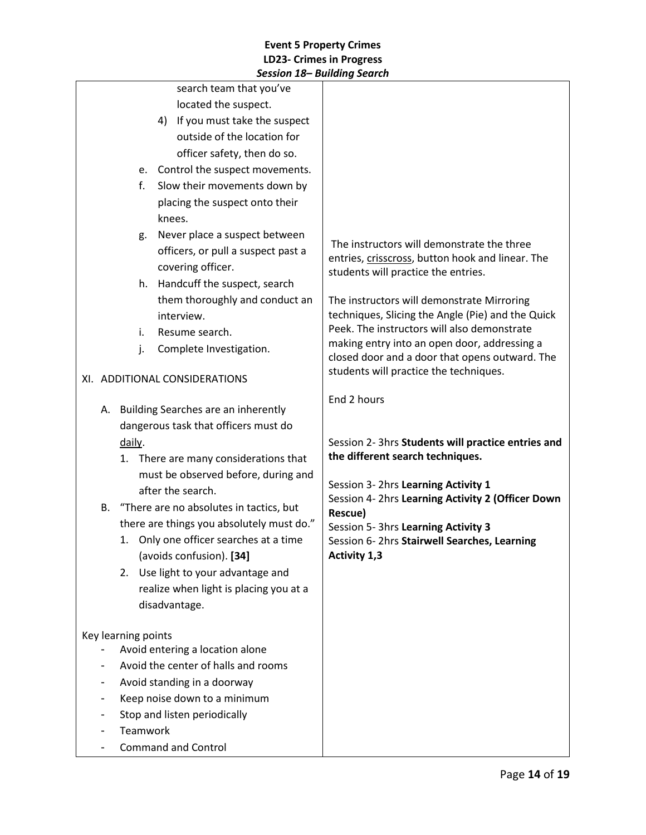|                     |                                                |          | session 10 Dununiy seuren              |                                                                                                |
|---------------------|------------------------------------------------|----------|----------------------------------------|------------------------------------------------------------------------------------------------|
|                     |                                                |          | search team that you've                |                                                                                                |
|                     |                                                |          | located the suspect.                   |                                                                                                |
|                     |                                                |          | 4) If you must take the suspect        |                                                                                                |
|                     |                                                |          | outside of the location for            |                                                                                                |
|                     |                                                |          | officer safety, then do so.            |                                                                                                |
|                     |                                                |          | e. Control the suspect movements.      |                                                                                                |
|                     |                                                | f.       | Slow their movements down by           |                                                                                                |
|                     |                                                |          | placing the suspect onto their         |                                                                                                |
|                     |                                                |          | knees.                                 |                                                                                                |
|                     |                                                | g.       | Never place a suspect between          | The instructors will demonstrate the three                                                     |
|                     |                                                |          | officers, or pull a suspect past a     | entries, crisscross, button hook and linear. The                                               |
|                     |                                                |          | covering officer.                      | students will practice the entries.                                                            |
|                     |                                                | h.       | Handcuff the suspect, search           |                                                                                                |
|                     |                                                |          | them thoroughly and conduct an         | The instructors will demonstrate Mirroring                                                     |
|                     |                                                |          | interview.                             | techniques, Slicing the Angle (Pie) and the Quick                                              |
|                     |                                                | i.       | Resume search.                         | Peek. The instructors will also demonstrate                                                    |
|                     |                                                | j.       | Complete Investigation.                | making entry into an open door, addressing a<br>closed door and a door that opens outward. The |
|                     |                                                |          |                                        | students will practice the techniques.                                                         |
|                     | XI. ADDITIONAL CONSIDERATIONS                  |          |                                        |                                                                                                |
|                     |                                                |          |                                        | End 2 hours                                                                                    |
|                     |                                                |          | A. Building Searches are an inherently |                                                                                                |
|                     | dangerous task that officers must do<br>daily. |          |                                        |                                                                                                |
|                     |                                                |          |                                        | Session 2- 3hrs Students will practice entries and                                             |
|                     |                                                |          | 1. There are many considerations that  | the different search techniques.                                                               |
|                     |                                                |          | must be observed before, during and    | Session 3- 2hrs Learning Activity 1                                                            |
|                     |                                                |          | after the search.                      | Session 4- 2hrs Learning Activity 2 (Officer Down                                              |
|                     | B. "There are no absolutes in tactics, but     |          |                                        | Rescue)                                                                                        |
|                     | there are things you absolutely must do."      |          |                                        | Session 5- 3hrs Learning Activity 3                                                            |
|                     |                                                |          | 1. Only one officer searches at a time | Session 6-2hrs Stairwell Searches, Learning                                                    |
|                     |                                                |          | (avoids confusion). [34]               | Activity 1,3                                                                                   |
|                     | 2.                                             |          | Use light to your advantage and        |                                                                                                |
|                     |                                                |          | realize when light is placing you at a |                                                                                                |
|                     |                                                |          | disadvantage.                          |                                                                                                |
| Key learning points |                                                |          |                                        |                                                                                                |
|                     |                                                |          | Avoid entering a location alone        |                                                                                                |
|                     |                                                |          | Avoid the center of halls and rooms    |                                                                                                |
|                     |                                                |          | Avoid standing in a doorway            |                                                                                                |
|                     |                                                |          | Keep noise down to a minimum           |                                                                                                |
|                     |                                                |          | Stop and listen periodically           |                                                                                                |
|                     |                                                | Teamwork |                                        |                                                                                                |
|                     |                                                |          | <b>Command and Control</b>             |                                                                                                |
|                     |                                                |          |                                        |                                                                                                |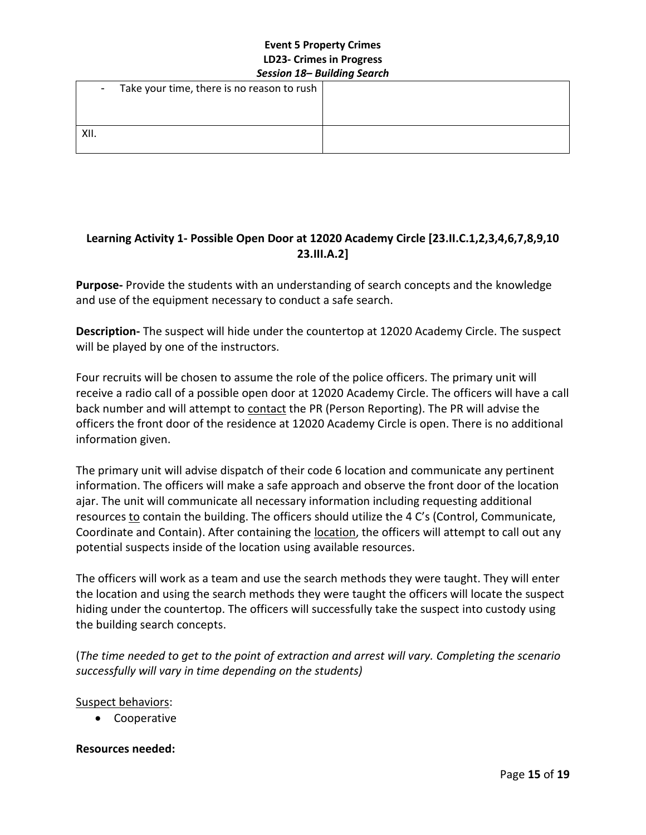| $\sim$ | Take your time, there is no reason to rush $ $ |  |
|--------|------------------------------------------------|--|
|        |                                                |  |
| XII.   |                                                |  |

# **Learning Activity 1- Possible Open Door at 12020 Academy Circle [23.II.C.1,2,3,4,6,7,8,9,10 23.III.A.2]**

**Purpose-** Provide the students with an understanding of search concepts and the knowledge and use of the equipment necessary to conduct a safe search.

**Description-** The suspect will hide under the countertop at 12020 Academy Circle. The suspect will be played by one of the instructors.

Four recruits will be chosen to assume the role of the police officers. The primary unit will receive a radio call of a possible open door at 12020 Academy Circle. The officers will have a call back number and will attempt to contact the PR (Person Reporting). The PR will advise the officers the front door of the residence at 12020 Academy Circle is open. There is no additional information given.

The primary unit will advise dispatch of their code 6 location and communicate any pertinent information. The officers will make a safe approach and observe the front door of the location ajar. The unit will communicate all necessary information including requesting additional resources to contain the building. The officers should utilize the 4 C's (Control, Communicate, Coordinate and Contain). After containing the **location**, the officers will attempt to call out any potential suspects inside of the location using available resources.

The officers will work as a team and use the search methods they were taught. They will enter the location and using the search methods they were taught the officers will locate the suspect hiding under the countertop. The officers will successfully take the suspect into custody using the building search concepts.

(*The time needed to get to the point of extraction and arrest will vary. Completing the scenario successfully will vary in time depending on the students)* 

### Suspect behaviors:

• Cooperative

### **Resources needed:**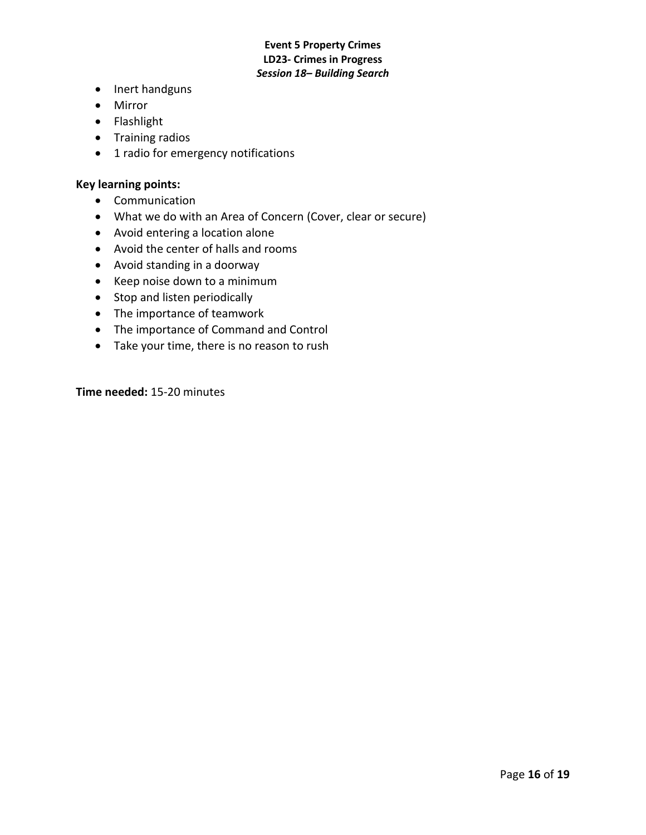- Inert handguns
- Mirror
- Flashlight
- Training radios
- 1 radio for emergency notifications

#### **Key learning points:**

- Communication
- What we do with an Area of Concern (Cover, clear or secure)
- Avoid entering a location alone
- Avoid the center of halls and rooms
- Avoid standing in a doorway
- Keep noise down to a minimum
- Stop and listen periodically
- The importance of teamwork
- The importance of Command and Control
- Take your time, there is no reason to rush

**Time needed:** 15-20 minutes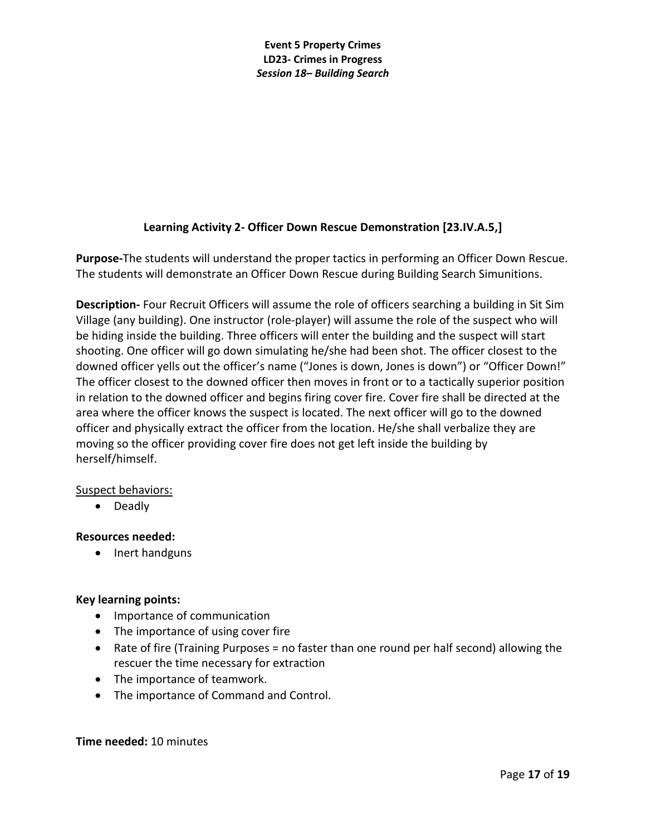# **Learning Activity 2- Officer Down Rescue Demonstration [23.IV.A.5,]**

**Purpose-**The students will understand the proper tactics in performing an Officer Down Rescue. The students will demonstrate an Officer Down Rescue during Building Search Simunitions.

**Description-** Four Recruit Officers will assume the role of officers searching a building in Sit Sim Village (any building). One instructor (role-player) will assume the role of the suspect who will be hiding inside the building. Three officers will enter the building and the suspect will start shooting. One officer will go down simulating he/she had been shot. The officer closest to the downed officer yells out the officer's name ("Jones is down, Jones is down") or "Officer Down!" The officer closest to the downed officer then moves in front or to a tactically superior position in relation to the downed officer and begins firing cover fire. Cover fire shall be directed at the area where the officer knows the suspect is located. The next officer will go to the downed officer and physically extract the officer from the location. He/she shall verbalize they are moving so the officer providing cover fire does not get left inside the building by herself/himself.

### Suspect behaviors:

• Deadly

### **Resources needed:**

• Inert handguns

# **Key learning points:**

- Importance of communication
- The importance of using cover fire
- Rate of fire (Training Purposes = no faster than one round per half second) allowing the rescuer the time necessary for extraction
- The importance of teamwork.
- The importance of Command and Control.

### **Time needed:** 10 minutes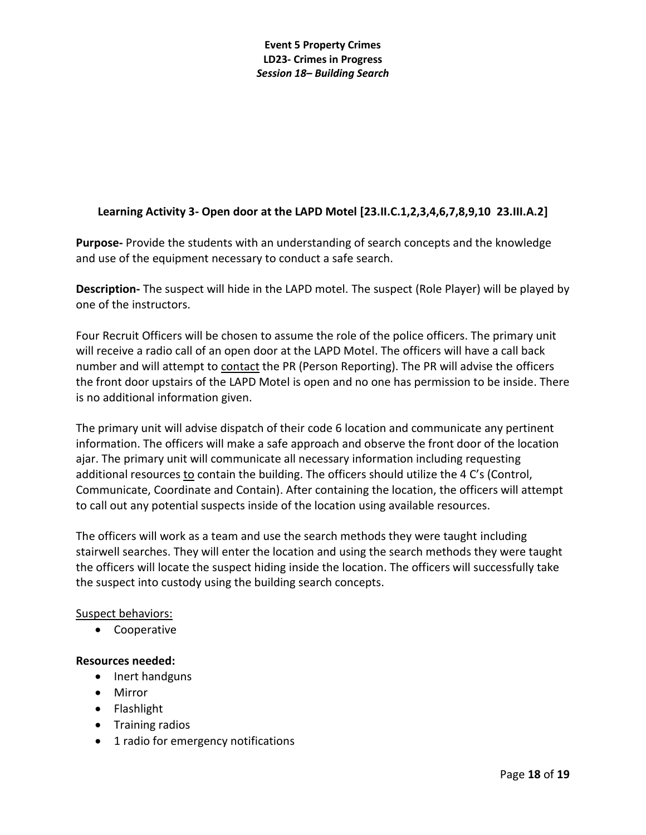# **Learning Activity 3- Open door at the LAPD Motel [23.II.C.1,2,3,4,6,7,8,9,10 23.III.A.2]**

**Purpose-** Provide the students with an understanding of search concepts and the knowledge and use of the equipment necessary to conduct a safe search.

**Description-** The suspect will hide in the LAPD motel. The suspect (Role Player) will be played by one of the instructors.

Four Recruit Officers will be chosen to assume the role of the police officers. The primary unit will receive a radio call of an open door at the LAPD Motel. The officers will have a call back number and will attempt to contact the PR (Person Reporting). The PR will advise the officers the front door upstairs of the LAPD Motel is open and no one has permission to be inside. There is no additional information given.

The primary unit will advise dispatch of their code 6 location and communicate any pertinent information. The officers will make a safe approach and observe the front door of the location ajar. The primary unit will communicate all necessary information including requesting additional resources to contain the building. The officers should utilize the 4 C's (Control, Communicate, Coordinate and Contain). After containing the location, the officers will attempt to call out any potential suspects inside of the location using available resources.

The officers will work as a team and use the search methods they were taught including stairwell searches. They will enter the location and using the search methods they were taught the officers will locate the suspect hiding inside the location. The officers will successfully take the suspect into custody using the building search concepts.

### Suspect behaviors:

• Cooperative

### **Resources needed:**

- Inert handguns
- Mirror
- Flashlight
- Training radios
- 1 radio for emergency notifications